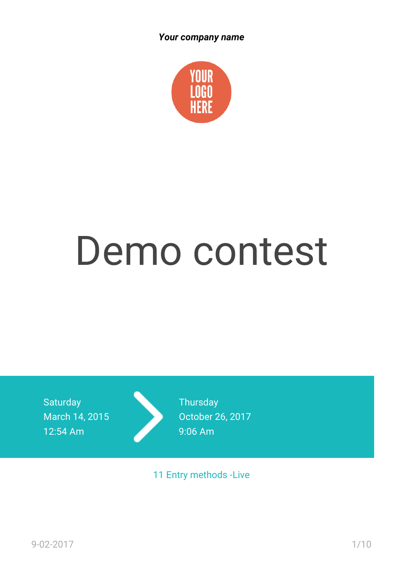

# Demo contest

**Saturday** March 14, 2015 12:54 Am



**Thursday** October 26, 2017 9:06 Am

11 Entry methods -Live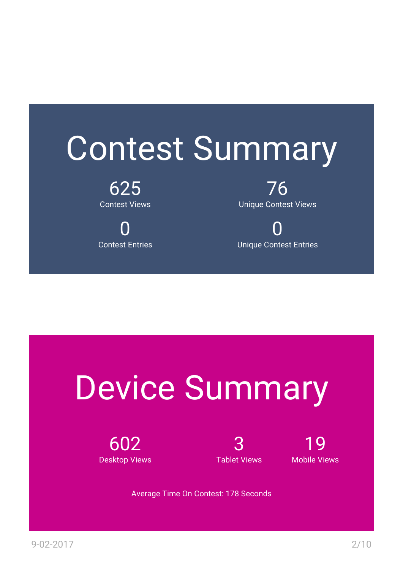### Contest Summary

625 Contest Views

0 Contest Entries

76 Unique Contest Views

0 Unique Contest Entries

## Device Summary

602 Desktop Views

3 Tablet Views

19 Mobile Views

Average Time On Contest: 178 Seconds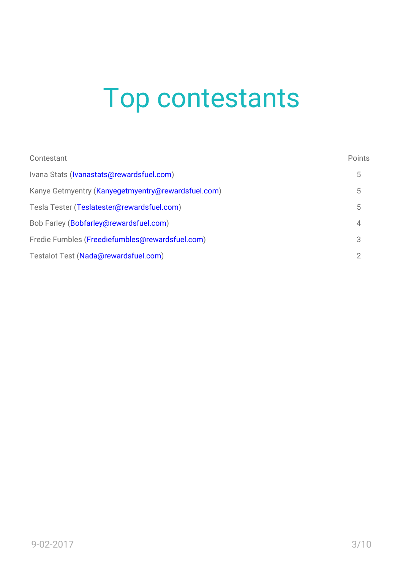#### Top contestants

| Contestant                                         | Points         |
|----------------------------------------------------|----------------|
| Ivana Stats (Ivanastats@rewardsfuel.com)           | 5              |
| Kanye Getmyentry (Kanyegetmyentry@rewardsfuel.com) | 5              |
| Tesla Tester (Teslatester@rewardsfuel.com)         | 5              |
| Bob Farley (Bobfarley@rewardsfuel.com)             | $\overline{4}$ |
| Fredie Fumbles (Freediefumbles@rewardsfuel.com)    | 3              |
| Testalot Test (Nada@rewardsfuel.com)               | 2              |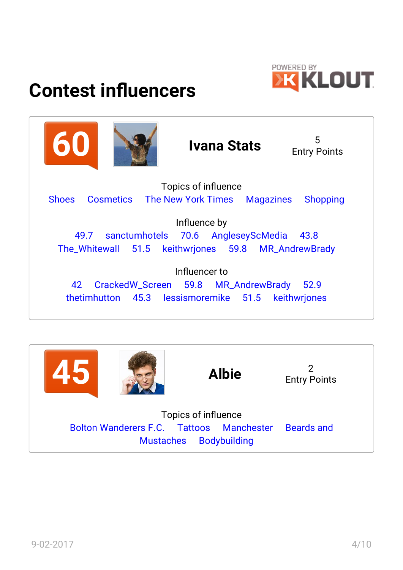

#### **Contest influencers**



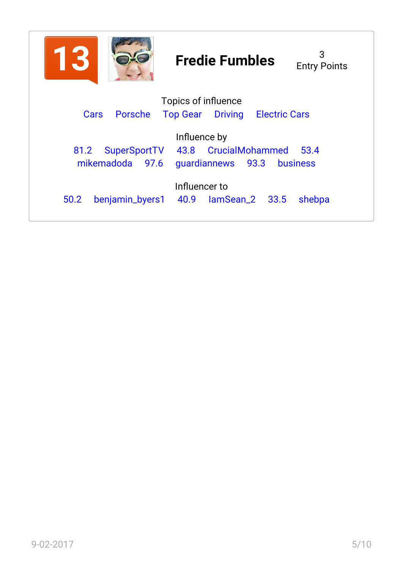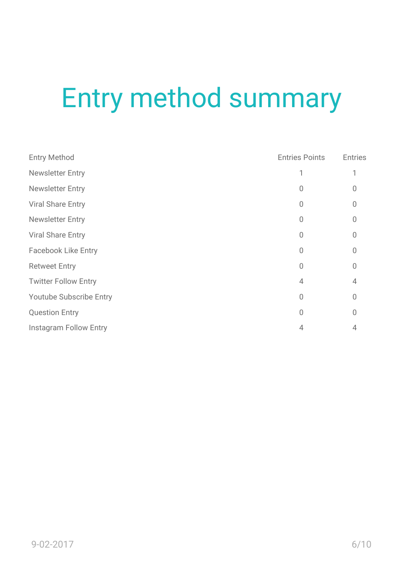#### Entry method summary

| <b>Entry Method</b>            | <b>Entries Points</b> | <b>Entries</b> |
|--------------------------------|-----------------------|----------------|
| <b>Newsletter Entry</b>        |                       |                |
| <b>Newsletter Entry</b>        | U                     |                |
| <b>Viral Share Entry</b>       | 0                     | 0              |
| <b>Newsletter Entry</b>        | 0                     | O              |
| <b>Viral Share Entry</b>       | 0                     | O              |
| <b>Facebook Like Entry</b>     | 0                     | U              |
| <b>Retweet Entry</b>           | 0                     | $\cup$         |
| <b>Twitter Follow Entry</b>    | 4                     | 4              |
| <b>Youtube Subscribe Entry</b> | 0                     | U              |
| <b>Question Entry</b>          | 0                     | U              |
| <b>Instagram Follow Entry</b>  | 4                     |                |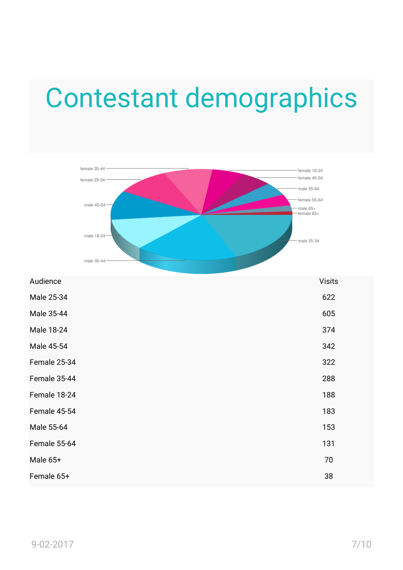#### Contestant demographics



| Audience     | <b>Visits</b> |
|--------------|---------------|
| Male 25-34   | 622           |
| Male 35-44   | 605           |
| Male 18-24   | 374           |
| Male 45-54   | 342           |
| Female 25-34 | 322           |
| Female 35-44 | 288           |
| Female 18-24 | 188           |
| Female 45-54 | 183           |
| Male 55-64   | 153           |
| Female 55-64 | 131           |
| Male 65+     | 70            |
| Female 65+   | 38            |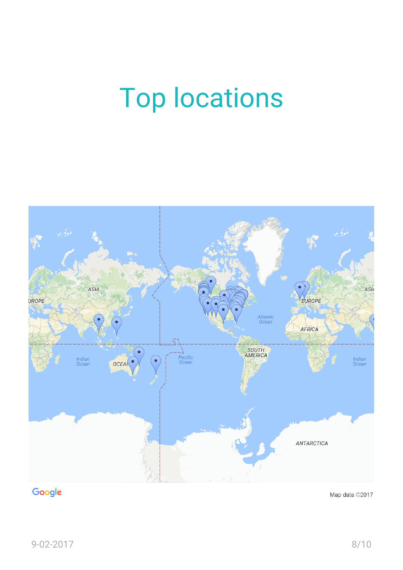#### Top locations



#### Google

Map data ©2017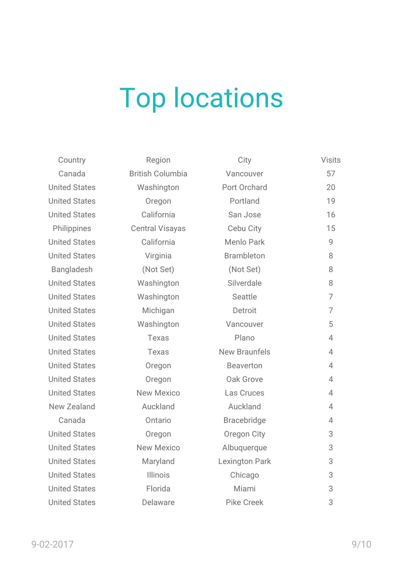#### Top locations

United States Washington United States **Oregon** United States California United States California United States **Virginia** Bangladesh (Not Set) (Not Set) 8 United States Washington United States Washington United States Michigan United States Washington United States **Texas** United States Texas United States **Oregon** United States **Oregon** United States New Mexico New Zealand **Auckland** United States **Oregon** United States New Mexico United States Maryland United States **Illinois** United States **Florida** United States **Delaware** Pike Creek 3

Canada British Columbia Philippines Central Visayas

| Country     | Region                  | City                  | <b>Visits</b>  |
|-------------|-------------------------|-----------------------|----------------|
| Canada      | <b>British Columbia</b> | Vancouver             | 57             |
| ited States | Washington              | Port Orchard          | 20             |
| ited States | Oregon                  | Portland              | 19             |
| ited States | California              | San Jose              | 16             |
| hilippines  | <b>Central Visayas</b>  | Cebu City             | 15             |
| ited States | California              | <b>Menlo Park</b>     | 9              |
| ited States | Virginia                | <b>Brambleton</b>     | 8              |
| angladesh   | (Not Set)               | (Not Set)             | 8              |
| ited States | Washington              | Silverdale            | 8              |
| ited States | Washington              | Seattle               | $\overline{7}$ |
| ited States | Michigan                | Detroit               | $\overline{7}$ |
| ited States | Washington              | Vancouver             | 5              |
| ited States | Texas                   | Plano                 | $\overline{4}$ |
| ited States | <b>Texas</b>            | <b>New Braunfels</b>  | $\overline{4}$ |
| ited States | Oregon                  | <b>Beaverton</b>      | $\overline{4}$ |
| ited States | Oregon                  | Oak Grove             | $\overline{4}$ |
| ited States | <b>New Mexico</b>       | Las Cruces            | $\overline{4}$ |
| w Zealand   | Auckland                | Auckland              | $\overline{4}$ |
| Canada      | Ontario                 | <b>Bracebridge</b>    | $\overline{4}$ |
| ited States | Oregon                  | Oregon City           | $\sqrt{3}$     |
| ited States | <b>New Mexico</b>       | Albuquerque           | 3              |
| ited States | Maryland                | <b>Lexington Park</b> | 3              |
| ited States | <b>Illinois</b>         | Chicago               | 3              |
| ited States | Florida                 | Miami                 | 3              |
|             |                         |                       |                |